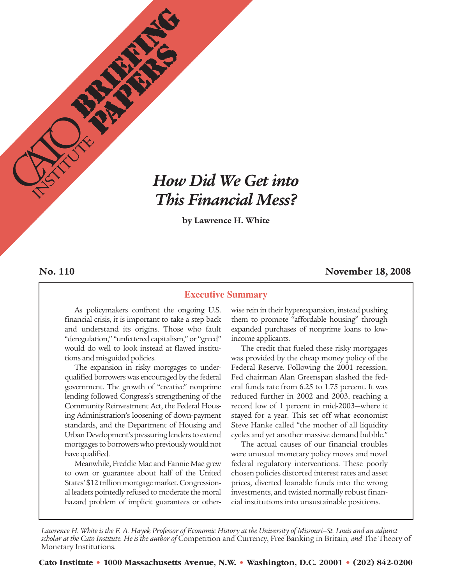# *How Did We Get into This Financial Mess?*

**by Lawrence H. White**

#### **No. 110**

#### **November 18, 2008**

#### **Executive Summary**

As policymakers confront the ongoing U.S. financial crisis, it is important to take a step back and understand its origins. Those who fault "deregulation," "unfettered capitalism," or "greed" would do well to look instead at flawed institutions and misguided policies.

**CAMPASSING** 

The expansion in risky mortgages to underqualified borrowers was encouraged by the federal government. The growth of "creative" nonprime lending followed Congress's strengthening of the Community Reinvestment Act, the Federal Housing Administration's loosening of down-payment standards, and the Department of Housing and Urban Development's pressuring lenders to extend mortgages to borrowers who previously would not have qualified.

Meanwhile, Freddie Mac and Fannie Mae grew to own or guarantee about half of the United States' \$12 trillion mortgage market. Congressional leaders pointedly refused to moderate the moral hazard problem of implicit guarantees or otherwise rein in their hyperexpansion, instead pushing them to promote "affordable housing" through expanded purchases of nonprime loans to lowincome applicants.

The credit that fueled these risky mortgages was provided by the cheap money policy of the Federal Reserve. Following the 2001 recession, Fed chairman Alan Greenspan slashed the federal funds rate from 6.25 to 1.75 percent. It was reduced further in 2002 and 2003, reaching a record low of 1 percent in mid-2003—where it stayed for a year. This set off what economist Steve Hanke called "the mother of all liquidity cycles and yet another massive demand bubble."

The actual causes of our financial troubles were unusual monetary policy moves and novel federal regulatory interventions. These poorly chosen policies distorted interest rates and asset prices, diverted loanable funds into the wrong investments, and twisted normally robust financial institutions into unsustainable positions.

Lawrence H. White is the F. A. Hayek Professor of Economic History at the University of Missouri–St. Louis and an adjunct *scholar at the Cato Institute. He is the author of* Competition and Currency, Free Banking in Britain*, and* The Theory of Monetary Institutions*.*

**Cato Institute • 1000 Massachusetts Avenue, N.W. • Washington, D.C. 20001 • (202) 842-0200**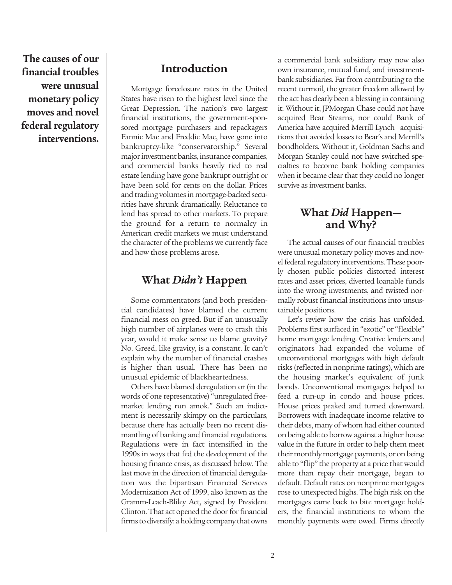**The causes of our financial troubles were unusual monetary policy moves and novel federal regulatory interventions.**

# **Introduction**

Mortgage foreclosure rates in the United States have risen to the highest level since the Great Depression. The nation's two largest financial institutions, the government-sponsored mortgage purchasers and repackagers Fannie Mae and Freddie Mac, have gone into bankruptcy-like "conservatorship." Several major investment banks, insurance companies, and commercial banks heavily tied to real estate lending have gone bankrupt outright or have been sold for cents on the dollar. Prices and trading volumes in mortgage-backed securities have shrunk dramatically. Reluctance to lend has spread to other markets. To prepare the ground for a return to normalcy in American credit markets we must understand the character of the problems we currently face and how those problems arose.

# **What** *Didn't* **Happen**

Some commentators (and both presidential candidates) have blamed the current financial mess on greed. But if an unusually high number of airplanes were to crash this year, would it make sense to blame gravity? No. Greed, like gravity, is a constant. It can't explain why the number of financial crashes is higher than usual. There has been no unusual epidemic of blackheartedness.

Others have blamed deregulation or (in the words of one representative) "unregulated freemarket lending run amok." Such an indictment is necessarily skimpy on the particulars, because there has actually been no recent dismantling of banking and financial regulations. Regulations were in fact intensified in the 1990s in ways that fed the development of the housing finance crisis, as discussed below. The last move in the direction of financial deregulation was the bipartisan Financial Services Modernization Act of 1999, also known as the Gramm-Leach-Bliley Act, signed by President Clinton. That act opened the door for financial firms to diversify: a holding company that owns

a commercial bank subsidiary may now also own insurance, mutual fund, and investmentbank subsidiaries. Far from contributing to the recent turmoil, the greater freedom allowed by the act has clearly been a blessing in containing it. Without it, JPMorgan Chase could not have acquired Bear Stearns, nor could Bank of America have acquired Merrill Lynch—acquisitions that avoided losses to Bear's and Merrill's bondholders. Without it, Goldman Sachs and Morgan Stanley could not have switched specialties to become bank holding companies when it became clear that they could no longer survive as investment banks.

## **What** *Did* **Happen and Why?**

The actual causes of our financial troubles were unusual monetary policy moves and novel federal regulatory interventions. These poorly chosen public policies distorted interest rates and asset prices, diverted loanable funds into the wrong investments, and twisted normally robust financial institutions into unsustainable positions.

Let's review how the crisis has unfolded. Problems first surfaced in "exotic" or "flexible" home mortgage lending. Creative lenders and originators had expanded the volume of unconventional mortgages with high default risks (reflected in nonprime ratings), which are the housing market's equivalent of junk bonds. Unconventional mortgages helped to feed a run-up in condo and house prices. House prices peaked and turned downward. Borrowers with inadequate income relative to their debts, many of whom had either counted on being able to borrowagainst a higher house value in the future in order to help them meet their monthly mortgage payments, or on being able to "flip" the property at a price that would more than repay their mortgage, began to default. Default rates on nonprime mortgages rose to unexpected highs. The high risk on the mortgages came back to bite mortgage holders, the financial institutions to whom the monthly payments were owed. Firms directly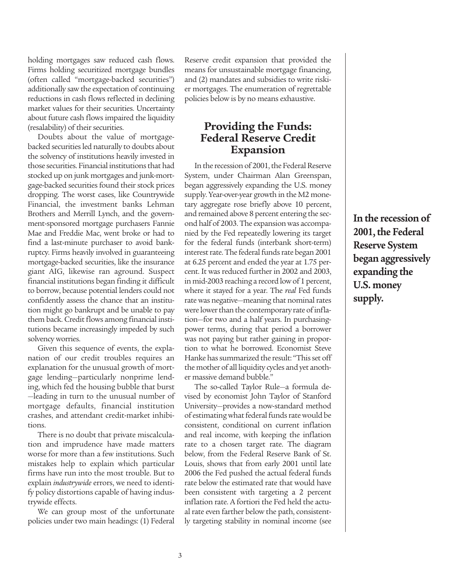holding mortgages saw reduced cash flows. Firms holding securitized mortgage bundles (often called "mortgage-backed securities") additionally sawthe expectation of continuing reductions in cash flows reflected in declining market values for their securities. Uncertainty about future cash flows impaired the liquidity (resalability) of their securities.

Doubts about the value of mortgagebacked securitiesled naturally to doubts about the solvency of institutions heavily invested in those securities. Financial institutions that had stocked up on junk mortgages and junk-mortgage-backed securities found their stock prices dropping. The worst cases, like Countrywide Financial, the investment banks Lehman Brothers and Merrill Lynch, and the government-sponsored mortgage purchasers Fannie Mae and Freddie Mac, went broke or had to find a last-minute purchaser to avoid bankruptcy. Firms heavily involved in guaranteeing mortgage-backed securities, like the insurance giant AIG, likewise ran aground. Suspect financial institutions began finding it difficult to borrow, because potential lenders could not confidently assess the chance that an institution might go bankrupt and be unable to pay them back. Credit flows among financial institutions became increasingly impeded by such solvency worries.

Given this sequence of events, the explanation of our credit troubles requires an explanation for the unusual growth of mortgage lending—particularly nonprime lending, which fed the housing bubble that burst —leading in turn to the unusual number of mortgage defaults, financial institution crashes, and attendant credit-market inhibitions.

There is no doubt that private miscalculation and imprudence have made matters worse for more than a few institutions. Such mistakes help to explain which particular firms have run into the most trouble. But to explain *industrywide* errors, we need to identify policy distortions capable of having industrywide effects.

We can group most of the unfortunate policies under two main headings: (1) Federal Reserve credit expansion that provided the means for unsustainable mortgage financing, and (2) mandates and subsidies to write riskier mortgages. The enumeration of regrettable policies below is by no means exhaustive.

## **Providing the Funds: Federal Reserve Credit Expansion**

In the recession of 2001, the Federal Reserve System, under Chairman Alan Greenspan, began aggressively expanding the U.S. money supply. Year-over-year growth in the M2 monetary aggregate rose briefly above 10 percent, and remained above 8 percent entering the second half of 2003. The expansion was accompanied by the Fed repeatedly lowering its target for the federal funds (interbank short-term) interest rate. The federal funds rate began 2001 at 6.25 percent and ended the year at 1.75 percent. It was reduced further in 2002 and 2003, in mid-2003 reaching a record lowof 1 percent, where it stayed for a year. The *real* Fed funds rate was negative—meaning that nominal rates were lower than the contemporary rate of inflation—for two and a half years. In purchasingpower terms, during that period a borrower was not paying but rather gaining in proportion to what he borrowed. Economist Steve Hanke has summarized the result: "This set off the mother of all liquidity cycles and yet another massive demand bubble."

The so-called Taylor Rule—a formula devised by economist John Taylor of Stanford University—provides a now-standard method of estimating what federal funds rate would be consistent, conditional on current inflation and real income, with keeping the inflation rate to a chosen target rate. The diagram below, from the Federal Reserve Bank of St. Louis, shows that from early 2001 until late 2006 the Fed pushed the actual federal funds rate below the estimated rate that would have been consistent with targeting a 2 percent inflation rate. A fortiori the Fed held the actual rate even farther below the path, consistently targeting stability in nominal income (see

**In the recession of 2001, the Federal Reserve System began aggressively expanding the U.S. money supply.**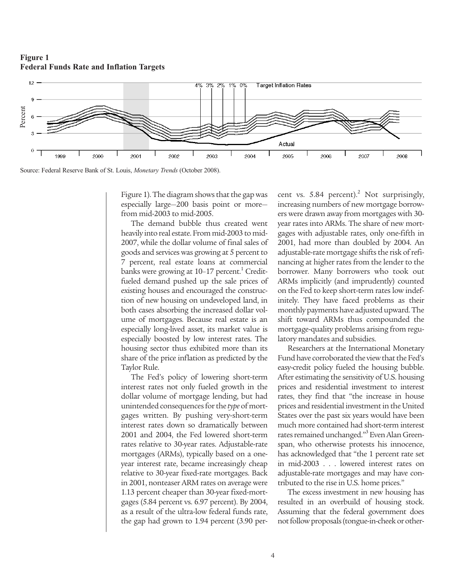**Figure 1 Federal Funds Rate and Inflation Targets**



Source: Federal Reserve Bank of St. Louis, *Monetary Trends* (October 2008).

Figure 1). The diagram shows that the gap was especially large—200 basis point or more from mid-2003 to mid-2005.

The demand bubble thus created went heavily into real estate. From mid-2003 to mid-2007, while the dollar volume of final sales of goods and services was growing at 5 percent to 7 percent, real estate loans at commercial banks were growing at 10-17 percent.<sup>1</sup> Creditfueled demand pushed up the sale prices of existing houses and encouraged the construction of new housing on undeveloped land, in both cases absorbing the increased dollar volume of mortgages. Because real estate is an especially long-lived asset, its market value is especially boosted by low interest rates. The housing sector thus exhibited more than its share of the price inflation as predicted by the Taylor Rule.

The Fed's policy of lowering short-term interest rates not only fueled growth in the dollar volume of mortgage lending, but had unintended consequences for the *type* of mortgages written. By pushing very-short-term interest rates down so dramatically between 2001 and 2004, the Fed lowered short-term rates relative to 30-year rates. Adjustable-rate mortgages (ARMs), typically based on a oneyear interest rate, became increasingly cheap relative to 30-year fixed-rate mortgages. Back in 2001, nonteaser ARM rates on average were 1.13 percent cheaper than 30-year fixed-mortgages (5.84 percent vs. 6.97 percent). By 2004, as a result of the ultra-low federal funds rate, the gap had grown to 1.94 percent (3.90 per-

cent vs. 5.84 percent). $^{2}$  Not surprisingly, increasing numbers of new mortgage borrowers were drawn away from mortgages with 30 year rates into ARMs. The share of new mortgages with adjustable rates, only one-fifth in 2001, had more than doubled by 2004. An adjustable-rate mortgage shifts the risk of refinancing at higher rates from the lender to the borrower. Many borrowers who took out ARMs implicitly (and imprudently) counted on the Fed to keep short-term rates low indefinitely. They have faced problems as their monthly payments have adjusted upward. The shift toward ARMs thus compounded the mortgage-quality problems arising from regulatory mandates and subsidies.

Researchers at the International Monetary Fund have corroborated the view that the Fed's easy-credit policy fueled the housing bubble. After estimating the sensitivity of U.S. housing prices and residential investment to interest rates, they find that "the increase in house prices and residential investment in the United States over the past six years would have been much more contained had short-term interest rates remained unchanged."<sup>3</sup> Even Alan Greenspan, who otherwise protests his innocence, has acknowledged that "the 1 percent rate set in mid-2003 . . . lowered interest rates on adjustable-rate mortgages and may have contributed to the rise in U.S. home prices."

The excess investment in new housing has resulted in an overbuild of housing stock. Assuming that the federal government does not follow proposals (tongue-in-cheek or other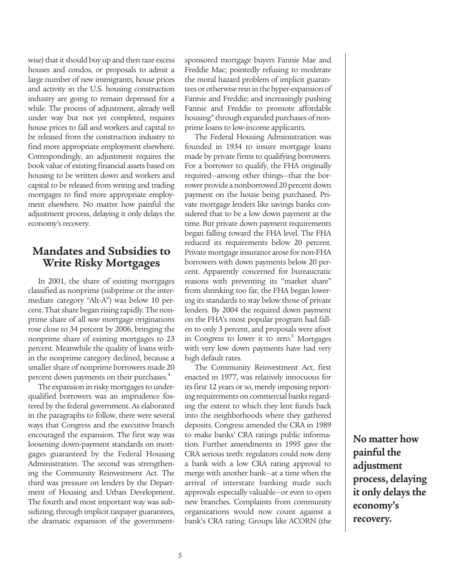wise) that it should buy up and then raze excess houses and condos, or proposals to admit a large number of new immigrants, house prices and activity in the U.S. housing construction industry are going to remain depressed for a while. The process of adjustment, already well under way but not yet completed, requires house prices to fall and workers and capital to be released from the construction industry to find more appropriate employment elsewhere. Correspondingly, an adjustment requires the book value of existing financial assets based on housing to be written down and workers and capital to be released from writing and trading mortgages to find more appropriate employment elsewhere. No matter how painful the adjustment process, delaying it only delays the economy's recovery.

#### **Mandates and Subsidies to Write Risky Mortgages**

In 2001, the share of existing mortgages classified as nonprime (subprime or the intermediate category "Alt-A") was below 10 percent. That share began rising rapidly. The nonprime share of all *new* mortgage originations rose close to 34 percent by 2006, bringing the nonprime share of existing mortgages to 23 percent. Meanwhile the quality of loans within the nonprime category declined, because a smaller share of nonprime borrowers made 20 percent down payments on their purchases.<sup>4</sup>

The expansion in risky mortgages to underqualified borrowers was an imprudence fostered by the federal government. As elaborated in the paragraphs to follow, there were several ways that Congress and the executive branch encouraged the expansion. The first way was loosening down-payment standards on mortgages guaranteed by the Federal Housing Administration. The second was strengthening the Community Reinvestment Act. The third was pressure on lenders by the Department of Housing and Urban Development. The fourth and most important way was subsidizing, through implicit taxpayer guarantees, the dramatic expansion of the governmentsponsored mortgage buyers Fannie Mae and Freddie Mac; pointedly refusing to moderate the moral hazard problem of implicit guarantees or otherwise rein in the hyper-expansion of Fannie and Freddie; and increasingly pushing Fannie and Freddie to promote affordable housing" through expanded purchases of nonprime loans to low-income applicants.

The Federal Housing Administration was founded in 1934 to insure mortgage loans made by private firms to qualifying borrowers. For a borrower to qualify, the FHA originally required—among other things—that the borrower provide a nonborrowed 20 percent down payment on the house being purchased. Private mortgage lenders like savings banks considered that to be a low down payment at the time. But private down payment requirements began falling toward the FHA level. The FHA reduced its requirements below 20 percent. Private mortgage insurance arose for non-FHA borrowers with down payments below 20 percent. Apparently concerned for bureaucratic reasons with preventing its "market share" from shrinking too far, the FHA began lowering its standards to stay below those of private lenders. By 2004 the required down payment on the FHA's most popular program had fallen to only 3 percent, and proposals were afoot in Congress to lower it to zero.<sup>5</sup> Mortgages with very low down payments have had very high default rates.

The Community Reinvestment Act, first enacted in 1977, was relatively innocuous for its first 12 years or so, merely imposing reporting requirements on commercial banks regarding the extent to which they lent funds back into the neighborhoods where they gathered deposits. Congress amended the CRA in 1989 to make banks' CRA ratings public information. Further amendments in 1995 gave the CRA serious teeth: regulators could now deny a bank with a low CRA rating approval to merge with another bank—at a time when the arrival of interstate banking made such approvals especially valuable—or even to open new branches. Complaints from community organizations would now count against a bank's CRA rating. Groups like ACORN (the

**No matter how painful the adjustment process, delaying it only delays the economy's recovery.**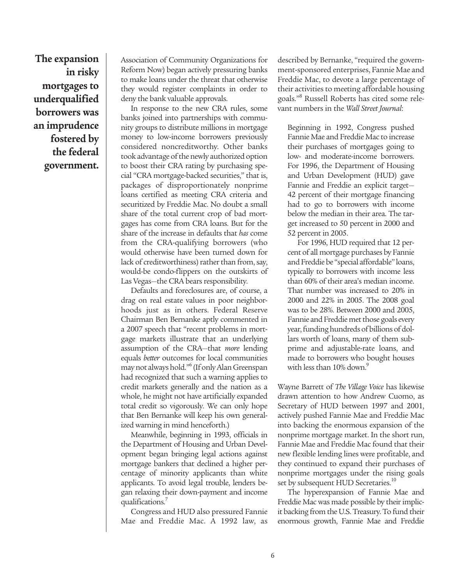**The expansion in risky mortgages to underqualified borrowers was an imprudence fostered by the federal government.**

Association of Community Organizations for Reform Now) began actively pressuring banks to make loans under the threat that otherwise they would register complaints in order to deny the bank valuable approvals.

In response to the new CRA rules, some banks joined into partnerships with community groups to distribute millions in mortgage money to low-income borrowers previously considered noncreditworthy. Other banks took advantage of the newly authorized option to boost their CRA rating by purchasing special "CRA mortgage-backed securities," that is, packages of disproportionately nonprime loans certified as meeting CRA criteria and securitized by Freddie Mac. No doubt a small share of the total current crop of bad mortgages has come from CRA loans. But for the share of the increase in defaults that *has* come from the CRA-qualifying borrowers (who would otherwise have been turned down for lack of creditworthiness) rather than from, say, would-be condo-flippers on the outskirts of Las Vegas-the CRA bears responsibility.

Defaults and foreclosures are, of course, a drag on real estate values in poor neighborhoods just as in others. Federal Reserve Chairman Ben Bernanke aptly commented in a 2007 speech that "recent problems in mortgage markets illustrate that an underlying assumption of the CRA—that *more* lending equals *better* outcomes for local communities maynot alwayshold." <sup>6</sup> (IfonlyAlanGreenspan had recognized that such a warning applies to credit markets generally and the nation as a whole, he might not have artificially expanded total credit so vigorously. We can only hope that Ben Bernanke will keep his own generalized warning in mind henceforth.)

Meanwhile, beginning in 1993, officials in the Department of Housing and Urban Development began bringing legal actions against mortgage bankers that declined a higher percentage of minority applicants than white applicants. To avoid legal trouble, lenders began relaxing their down-payment and income qualifications. 7

Congress and HUD also pressured Fannie Mae and Freddie Mac. A 1992 law, as described by Bernanke, "required the government-sponsored enterprises, Fannie Mae and Freddie Mac, to devote a large percentage of their activities to meeting affordable housing goals." <sup>8</sup> Russell Roberts has cited some relevant numbers in the *Wall Street Journal*:

Beginning in 1992, Congress pushed Fannie Mae and Freddie Mac to increase their purchases of mortgages going to low- and moderate-income borrowers. For 1996, the Department of Housing and Urban Development (HUD) gave Fannie and Freddie an explicit target— 42 percent of their mortgage financing had to go to borrowers with income below the median in their area. The target increased to 50 percent in 2000 and 52 percent in 2005.

For 1996, HUD required that 12 percent of all mortgage purchases by Fannie and Freddie be "special affordable" loans, typically to borrowers with income less than 60% of their area's median income. That number was increased to 20% in 2000 and 22% in 2005. The 2008 goal was to be 28%. Between 2000 and 2005, Fannie and Freddie met those goals every year, funding hundreds of billions of dollars worth of loans, many of them subprime and adjustable-rate loans, and made to borrowers who bought houses with less than 10% down.<sup>9</sup>

Wayne Barrett of *The Village Voice* has likewise drawn attention to how Andrew Cuomo, as Secretary of HUD between 1997 and 2001, actively pushed Fannie Mae and Freddie Mac into backing the enormous expansion of the nonprime mortgage market. In the short run, Fannie Mae and Freddie Mac found that their new flexible lending lines were profitable, and they continued to expand their purchases of nonprime mortgages under the rising goals set by subsequent HUD Secretaries.<sup>10</sup>

The hyperexpansion of Fannie Mae and Freddie Mac was made possible by their implicit backing from the U.S. Treasury. To fund their enormous growth, Fannie Mae and Freddie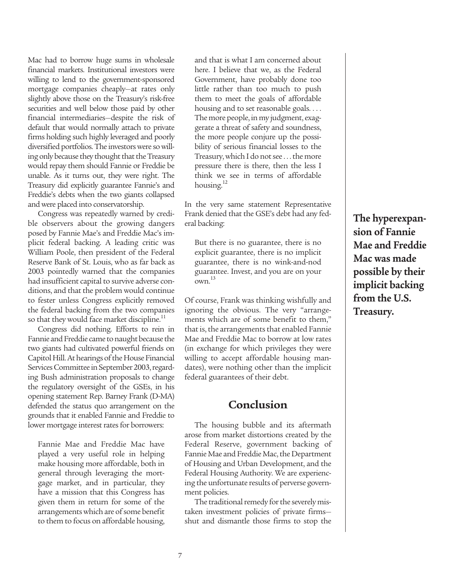Mac had to borrow huge sums in wholesale financial markets. Institutional investors were willing to lend to the government-sponsored mortgage companies cheaply—at rates only slightly above those on the Treasury's risk-free securities and well below those paid by other financial intermediaries—despite the risk of default that would normally attach to private firms holding such highly leveraged and poorly diversified portfolios. The investors were so willing only because they thought that the Treasury would repay them should Fannie or Freddie be unable. As it turns out, they were right. The Treasury did explicitly guarantee Fannie's and Freddie's debts when the two giants collapsed andwere placed into conservatorship.

Congress was repeatedly warned by credible observers about the growing dangers posed by Fannie Mae's and Freddie Mac's implicit federal backing. A leading critic was William Poole, then president of the Federal Reserve Bank of St. Louis, who as far back as 2003 pointedly warned that the companies had insufficient capital to survive adverse conditions, and that the problem would continue to fester unless Congress explicitly removed the federal backing from the two companies so that they would face market discipline.<sup>11</sup>

Congress did nothing. Efforts to rein in Fannie and Freddie came to naught because the two giants had cultivated powerful friends on Capitol Hill. At hearings of the House Financial Services Committee in September 2003, regarding Bush administration proposals to change the regulatory oversight of the GSEs, in his opening statement Rep. Barney Frank (D-MA) defended the status quo arrangement on the grounds that it enabled Fannie and Freddie to lower mortgage interest rates for borrowers:

Fannie Mae and Freddie Mac have played a very useful role in helping make housing more affordable, both in general through leveraging the mortgage market, and in particular, they have a mission that this Congress has given them in return for some of the arrangements which are of some benefit to them to focus on affordable housing, and that is what I am concerned about here. I believe that we, as the Federal Government, have probably done too little rather than too much to push them to meet the goals of affordable housing and to set reasonable goals. . . . The more people, in my judgment, exaggerate a threat of safety and soundness, the more people conjure up the possibility of serious financial losses to the Treasury, which I do not see . . . the more pressure there is there, then the less I think we see in terms of affordable housing.<sup>12</sup>

In the very same statement Representative Frank denied that the GSE's debt had any federal backing:

But there is no guarantee, there is no explicit guarantee, there is no implicit guarantee, there is no wink-and-nod guarantee. Invest, and you are on your own. 13

Of course, Frank was thinking wishfully and ignoring the obvious. The very "arrangements which are of some benefit to them," that is, the arrangements that enabled Fannie Mae and Freddie Mac to borrow at low rates (in exchange for which privileges they were willing to accept affordable housing mandates), were nothing other than the implicit federal guarantees of their debt.

## **Conclusion**

The housing bubble and its aftermath arose from market distortions created by the Federal Reserve, government backing of Fannie Mae and Freddie Mac, the Department of Housing and Urban Development, and the Federal Housing Authority. We are experiencing the unfortunate results of perverse government policies.

The traditional remedy for the severely mistaken investment policies of private firms shut and dismantle those firms to stop the **The hyperexpansion of Fannie Mae and Freddie Mac was made possible by their implicit backing from the U.S. Treasury.**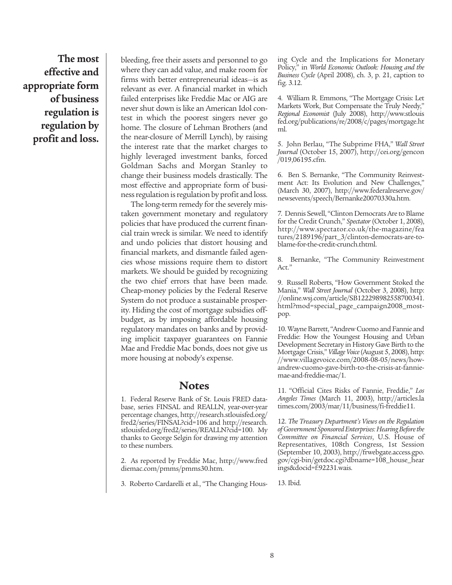**The most effective and appropriate form of business regulation is regulation by profit and loss.**

bleeding, free their assets and personnel to go where they can add value, and make room for firms with better entrepreneurial ideas—is as relevant as ever. A financial market in which failed enterprises like Freddie Mac or AIG are never shut down is like an American Idol contest in which the poorest singers never go home. The closure of Lehman Brothers (and the near-closure of Merrill Lynch), by raising the interest rate that the market charges to highly leveraged investment banks, forced Goldman Sachs and Morgan Stanley to change their business models drastically. The most effective and appropriate form of business regulation is regulation by profit and loss.

The long-term remedy for the severely mistaken government monetary and regulatory policies that have produced the current financial train wreck is similar. We need to identify and undo policies that distort housing and financial markets, and dismantle failed agencies whose missions require them to distort markets. We should be guided by recognizing the two chief errors that have been made. Cheap-money policies by the Federal Reserve System do not produce a sustainable prosperity. Hiding the cost of mortgage subsidies offbudget, as by imposing affordable housing regulatory mandates on banks and by providing implicit taxpayer guarantees on Fannie Mae and Freddie Mac bonds, does not give us more housing at nobody's expense.

#### **Notes**

1. Federal Reserve Bank of St. Louis FRED database, series FINSAL and REALLN, year-over-year percentage changes, http://research.stlouisfed.org/ fred2/series/FINSAL?cid=106 and http://research. stlouisfed.org/fred2/series/REALLN?cid=100. My thanks to George Selgin for drawing my attention to these numbers.

2. As reported by Freddie Mac, http://www.fred diemac.com/pmms/pmms30.htm.

3. Roberto Cardarelli et al., "The Changing Hous-

ing Cycle and the Implications for Monetary Policy," in *World Economic Outlook: Housing and the Business Cycle* (April 2008), ch. 3, p. 21, caption to fig. 3.12.

4. William R. Emmons, "The Mortgage Crisis: Let Markets Work, But Compensate the Truly Needy," *Regional Economist* (July 2008), http://www.stlouis fed.org/publications/re/2008/c/pages/mortgage.ht ml.

5. John Berlau, "The Subprime FHA," *Wall Street Journal* (October 15, 2007), http://cei.org/gencon /019,06195.cfm.

6. Ben S. Bernanke, "The Community Reinvestment Act: Its Evolution and New Challenges," (March 30, 2007), http://www.federalreserve.gov/ newsevents/speech/Bernanke20070330a.htm.

7. Dennis Sewell, "Clinton Democrats Are to Blame for the Credit Crunch," *Spectator* (October 1, 2008), http://www.spectator.co.uk/the-magazine/fea tures/2189196/part\_3/clinton-democrats-are-toblame-for-the-credit-crunch.thtml.

8. Bernanke, "The Community Reinvestment Act."

9. Russell Roberts, "How Government Stoked the Mania," *Wall Street Journal* (October 3, 2008), http: //online.wsj.com/article/SB122298982558700341. html?mod=special\_page\_campaign2008\_mostpop.

10. Wayne Barrett, "Andrew Cuomo and Fannie and Freddie: How the Youngest Housing and Urban Development Secretary in History Gave Birth to the Mortgage Crisis," *Village Voice* (August 5, 2008), http: //www.villagevoice.com/2008-08-05/news/howandrew-cuomo-gave-birth-to-the-crisis-at-fanniemae-and-freddie-mac/1.

11. "Official Cites Risks of Fannie, Freddie," *Los Angeles Times* (March 11, 2003), http://articles.la times.com/2003/mar/11/business/fi-freddie11.

12. *The Treasury Department's Views on the Regulation ofGovernment SponsoredEnterprises:HearingBeforethe Committee on Financial Services*, U.S. House of Representatives, 108th Congress, 1st Session (September 10, 2003), http://frwebgate.access.gpo. gov/cgi-bin/getdoc.cgi?dbname=108\_house\_hear ings&docid=f:92231.wais.

13. Ibid.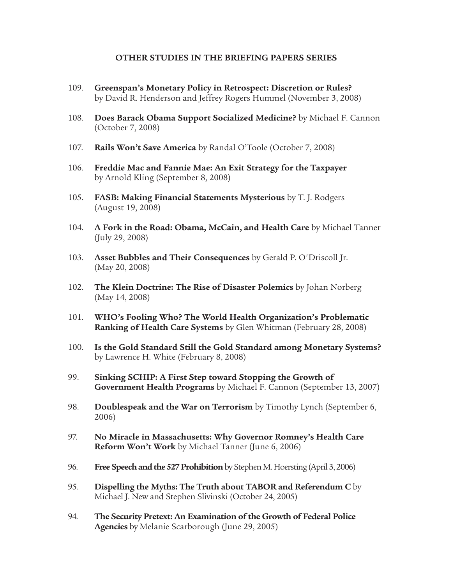#### **OTHER STUDIES IN THE BRIEFING PAPERS SERIES**

- 109. **Greenspan's Monetary Policy in Retrospect: Discretion or Rules?** by David R. Henderson and Jeffrey Rogers Hummel (November 3, 2008)
- 108. **Does Barack Obama Support Socialized Medicine?** by Michael F. Cannon (October 7, 2008)
- 107. **Rails Won't Save America** by Randal O'Toole (October 7, 2008)
- 106. **Freddie Mac and Fannie Mae: An Exit Strategy for the Taxpayer** by Arnold Kling (September 8, 2008)
- 105. **FASB: Making Financial Statements Mysterious** by T. J. Rodgers (August 19, 2008)
- 104. **A Fork in the Road: Obama, McCain, and Health Care** by Michael Tanner (July 29, 2008)
- 103. **Asset Bubbles and Their Consequences** by Gerald P. O'Driscoll Jr. (May 20, 2008)
- 102. **The Klein Doctrine: The Rise of Disaster Polemics** by Johan Norberg (May 14, 2008)
- 101. **WHO's Fooling Who? The World Health Organization's Problematic Ranking of Health Care Systems** by Glen Whitman (February 28, 2008)
- 100. **Is the Gold Standard Still the Gold Standard among Monetary Systems?** by Lawrence H. White (February 8, 2008)
- 99. **Sinking SCHIP: A First Step toward Stopping the Growth of Government Health Programs** by Michael F. Cannon (September 13, 2007)
- 98. **Doublespeak and the War on Terrorism** by Timothy Lynch (September 6, 2006)
- 97. **No Miracle in Massachusetts: Why Governor Romney's Health Care Reform Won't Work** by Michael Tanner (June 6, 2006)
- 96. **Free Speech and the 527 Prohibition** by Stephen M. Hoersting (April 3, 2006)
- 95. **Dispelling the Myths: The Truth about TABOR and Referendum C** by Michael J. New and Stephen Slivinski (October 24, 2005)
- 94. **The Security Pretext: An Examination of the Growth of Federal Police Agencies** by Melanie Scarborough (June 29, 2005)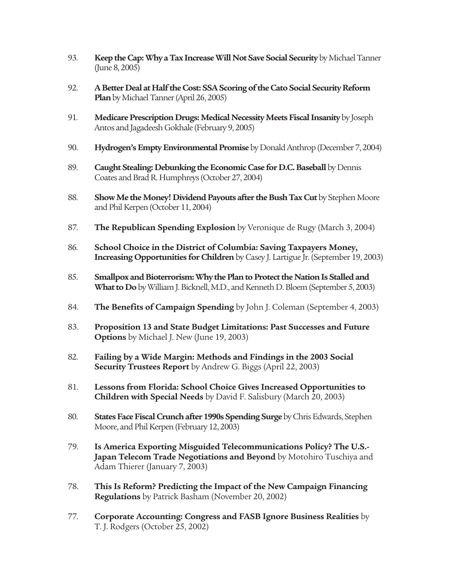- 93. **KeeptheCap:Why aTax IncreaseWill Not Save Social Security** byMichaelTanner (June 8, 2005)
- 92. **A BetterDeal at HalftheCost:SSA ScoringoftheCatoSocial SecurityReform Plan** by Michael Tanner (April 26, 2005)
- 91. Medicare Prescription Drugs: Medical Necessity Meets Fiscal Insanity by Joseph Antos and Jagadeesh Gokhale (February 9, 2005)
- 90. **Hydrogen's Empty Environmental Promise** by Donald Anthrop (December 7, 2004)
- 89. **Caught Stealing: Debunking the Economic Case for D.C. Baseball by Dennis** Coates and Brad R. Humphreys (October 27, 2004)
- 88. **Show Me the Money! Dividend Payouts after the Bush Tax Cut** by Stephen Moore and Phil Kerpen (October 11, 2004)
- 87. **The Republican Spending Explosion** by Veronique de Rugy (March 3, 2004)
- 86. **School Choice in the District of Columbia: Saving Taxpayers Money, Increasing Opportunities for Children** by Casey J. Lartigue Jr. (September 19, 2003)
- 85. **Smallpox and Bioterrorism: Why the Plan to Protect the Nation Is Stalled and What to Do** by William J. Bicknell, M.D., and Kenneth D. Bloem (September 5, 2003)
- 84. **The Benefits of Campaign Spending** by John J. Coleman (September 4, 2003)
- 83. **Proposition 13 and State Budget Limitations: Past Successes and Future Options** by Michael J. New (June 19, 2003)
- 82. **Failing by a Wide Margin: Methods and Findings in the 2003 Social Security Trustees Report** by Andrew G. Biggs (April 22, 2003)
- 81. **Lessons from Florida: School Choice Gives Increased Opportunities to Children with Special Needs** by David F. Salisbury (March 20, 2003)
- 80. **States Face Fiscal Crunch after 1990s Spending Surge** by Chris Edwards, Stephen Moore, and Phil Kerpen (February 12, 2003)
- 79. **Is America Exporting Misguided Telecommunications Policy? The U.S.- Japan Telecom Trade Negotiations and Beyond** by Motohiro Tuschiya and Adam Thierer (January 7, 2003)
- 78. **This Is Reform? Predicting the Impact of the New Campaign Financing Regulations** by Patrick Basham (November 20, 2002)
- 77. **Corporate Accounting: Congress and FASB Ignore Business Realities** by T. J. Rodgers (October 25, 2002)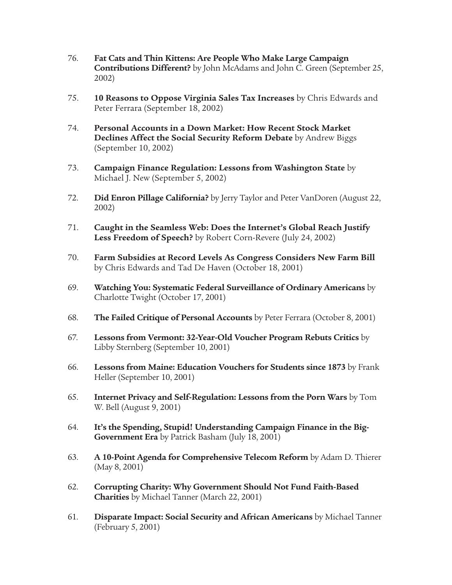- 76. **Fat Cats and Thin Kittens: Are People Who Make Large Campaign Contributions Different?** by John McAdams and John C. Green (September 25, 2002)
- 75. **10 Reasons to Oppose Virginia Sales Tax Increases** by Chris Edwards and Peter Ferrara (September 18, 2002)
- 74. **Personal Accounts in a Down Market: How Recent Stock Market Declines Affect the Social Security Reform Debate** by Andrew Biggs (September 10, 2002)
- 73. **Campaign Finance Regulation: Lessons from Washington State** by Michael J. New (September 5, 2002)
- 72. **Did Enron Pillage California?** by Jerry Taylor and Peter VanDoren (August 22, 2002)
- 71. **Caught in the Seamless Web: Does the Internet's Global Reach Justify Less Freedom of Speech?** by Robert Corn-Revere (July 24, 2002)
- 70. **Farm Subsidies at Record Levels As Congress Considers New Farm Bill** by Chris Edwards and Tad De Haven (October 18, 2001)
- 69. **Watching You: Systematic Federal Surveillance of Ordinary Americans** by Charlotte Twight (October 17, 2001)
- 68. **The Failed Critique of Personal Accounts** by Peter Ferrara (October 8, 2001)
- 67. **Lessons from Vermont: 32-Year-Old Voucher Program Rebuts Critics** by Libby Sternberg (September 10, 2001)
- 66. **Lessons from Maine: Education Vouchers for Students since 1873** by Frank Heller (September 10, 2001)
- 65. **Internet Privacy and Self-Regulation: Lessons from the Porn Wars** by Tom W. Bell (August 9, 2001)
- 64. **It's the Spending, Stupid! Understanding Campaign Finance in the Big-Government Era** by Patrick Basham (July 18, 2001)
- 63. **A 10-Point Agenda for Comprehensive Telecom Reform** by Adam D. Thierer (May 8, 2001)
- 62. **Corrupting Charity: Why Government Should Not Fund Faith-Based Charities** by Michael Tanner (March 22, 2001)
- 61. **Disparate Impact: Social Security and African Americans** by Michael Tanner (February 5, 2001)